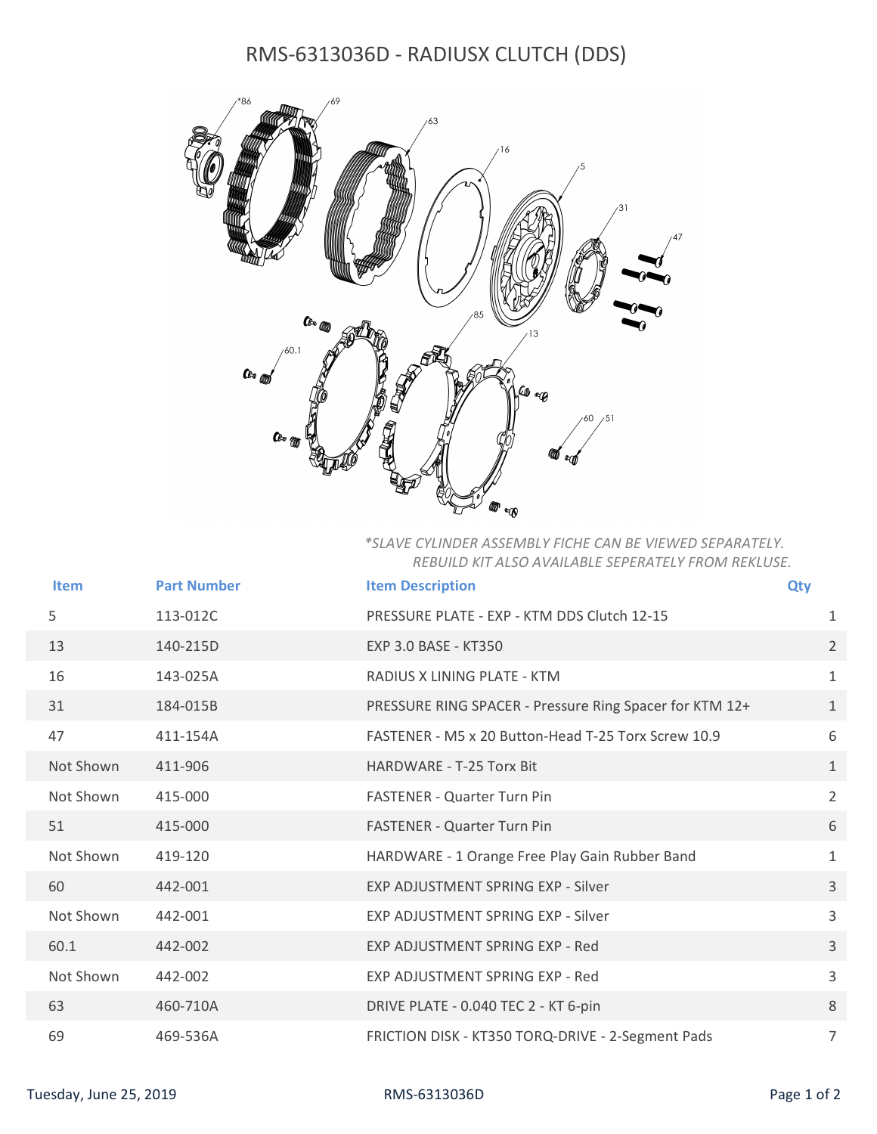## RMS-6313036D - RADIUSX CLUTCH (DDS)



## \*SLAVE CYLINDER ASSEMBLY FICHE CAN BE VIEWED SEPARATELY. REBUILD KIT ALSO AVAILABLE SEPERATELY FROM REKLUSE.

| Item                   | <b>Part Number</b> | <b>Item Description</b>                                 | <b>Qty</b>     |
|------------------------|--------------------|---------------------------------------------------------|----------------|
| 5                      | 113-012C           | PRESSURE PLATE - EXP - KTM DDS Clutch 12-15             | 1              |
| 13                     | 140-215D           | EXP 3.0 BASE - KT350                                    | $2^{\circ}$    |
| 16                     | 143-025A           | RADIUS X LINING PLATE - KTM                             | 1              |
| 31                     | 184-015B           | PRESSURE RING SPACER - Pressure Ring Spacer for KTM 12+ | 1              |
| 47                     | 411-154A           | FASTENER - M5 x 20 Button-Head T-25 Torx Screw 10.9     | 6              |
| Not Shown              | 411-906            | HARDWARE - T-25 Torx Bit                                | 1              |
| Not Shown              | 415-000            | <b>FASTENER - Quarter Turn Pin</b>                      | $\overline{2}$ |
| 51                     | 415-000            | <b>FASTENER - Quarter Turn Pin</b>                      | 6              |
| Not Shown              | 419-120            | HARDWARE - 1 Orange Free Play Gain Rubber Band          | $\mathbf{1}$   |
| 60                     | 442-001            | EXP ADJUSTMENT SPRING EXP - Silver                      | $\mathbf{3}$   |
| Not Shown              | 442-001            | EXP ADJUSTMENT SPRING EXP - Silver                      | $\overline{3}$ |
| 60.1                   | 442-002            | EXP ADJUSTMENT SPRING EXP - Red                         | $\mathbf{3}$   |
| Not Shown              | 442-002            | EXP ADJUSTMENT SPRING EXP - Red                         | 3              |
| 63                     | 460-710A           | DRIVE PLATE - 0.040 TEC 2 - KT 6-pin                    | 8              |
| 69                     | 469-536A           | FRICTION DISK - KT350 TORQ-DRIVE - 2-Segment Pads       | $\overline{7}$ |
| Tuesday, June 25, 2019 |                    | RMS-6313036D                                            | Page 1 of 2    |